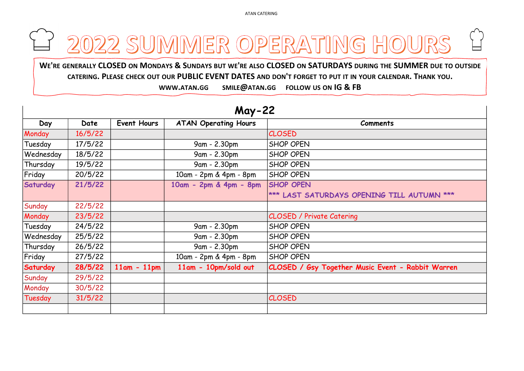ATAN CATERING

## ATAN CATERING<br>WE'RE GENERALLY CLOSED ON MONDAYS & SUNDAYS BUT WE'RE ALSO CLOSED ON SATURDAYS DURING THE SUMMER DUE TO OUTSIDE<br>CATERING. PLEASE CHECK OUT OUR PUBLIC EVENT DATES AND DON'T FORGET TO PUT IT IN YOUR CALENDAR. T ENERALLY CLOSED ON MONDAYS & SUNDAYS BUT WE'RE ALSO CLOSED ON SATURDAYS DURING THE SUMMER DUE TO OUTSIDE<br>ENERALLY CLOSED ON MONDAYS & SUNDAYS BUT WE'RE ALSO CLOSED ON SATURDAYS DURING THE SUMMER DUE TO OUTSIDE<br>WWW.ATAN.GG

| Day       | <b>Date</b> | Event Hours   | <b>ATAN Operating Hours</b> | <b>Comments</b>                   |
|-----------|-------------|---------------|-----------------------------|-----------------------------------|
| Monday    | 16/5/22     |               |                             | <b>CLOSED</b>                     |
| Tuesday   | 17/5/22     |               | 9am - 2.30pm                | <b>SHOP OPEN</b>                  |
| Wednesday | 18/5/22     |               | 9am - 2.30pm                | <b>SHOP OPEN</b>                  |
| Thursday  | 19/5/22     |               | 9am - 2.30pm                | <b>SHOP OPEN</b>                  |
| Friday    | 20/5/22     |               | 10am - 2pm & 4pm - 8pm      | <b>SHOP OPEN</b>                  |
| Saturday  | 21/5/22     |               | 10am - 2pm & 4pm - 8pm      | <b>SHOP OPEN</b>                  |
|           |             |               |                             | *** LAST SATURDAYS OPENING T.     |
| Sunday    | 22/5/22     |               |                             |                                   |
| Monday    | 23/5/22     |               |                             | <b>CLOSED / Private Catering</b>  |
| Tuesday   | 24/5/22     |               | 9am - 2.30pm                | <b>SHOP OPEN</b>                  |
| Wednesday | 25/5/22     |               | 9am - 2.30pm                | <b>SHOP OPEN</b>                  |
| Thursday  | 26/5/22     |               | 9am - 2.30pm                | <b>SHOP OPEN</b>                  |
| Friday    | 27/5/22     |               | 10am - 2pm & 4pm - 8pm      | <b>SHOP OPEN</b>                  |
| Saturday  | 28/5/22     | $11am - 11pm$ | 11am - 10pm/sold out        | CLOSED / Gsy Together Music Event |
| Sunday    | 29/5/22     |               |                             |                                   |
| Monday    | 30/5/22     |               |                             |                                   |
| Tuesday   | 31/5/22     |               |                             | <b>CLOSED</b>                     |
|           |             |               |                             |                                   |
|           |             |               |                             |                                   |

## May-22



## **ILL AUTUMN \*\*\*** - Rabbit Warren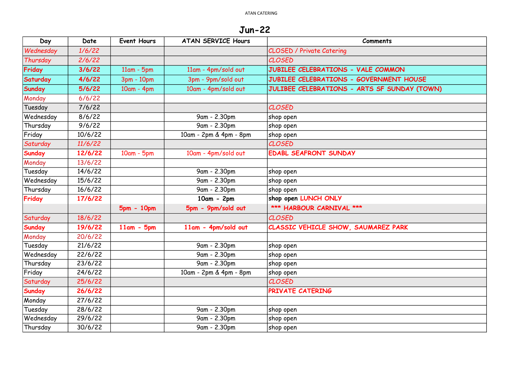Jun-22

| Day           | Date    | <b>Event Hours</b> | <b>ATAN SERVICE Hours</b> | <b>Comments</b>                              |
|---------------|---------|--------------------|---------------------------|----------------------------------------------|
| Wednesday     | 1/6/22  |                    |                           | <b>CLOSED / Private Catering</b>             |
| Thursday      | 2/6/22  |                    |                           | <b>CLOSED</b>                                |
| Friday        | 3/6/22  | $11am - 5pm$       | 11am - 4pm/sold out       | JUBILEE CELEBRATIONS - VALE COMMON           |
| Saturday      | 4/6/22  | 3pm - 10pm         | 3pm - 9pm/sold out        | JUBILEE CELEBRATIONS - GOVERNMENT HOUSE      |
| Sunday        | 5/6/22  | $10am - 4pm$       | 10am - 4pm/sold out       | JULIBEE CELEBRATIONS - ARTS SF SUNDAY (TOWN) |
| Monday        | 6/6/22  |                    |                           |                                              |
| Tuesday       | 7/6/22  |                    |                           | CLOSED                                       |
| Wednesday     | 8/6/22  |                    | 9am - 2.30pm              | shop open                                    |
| Thursday      | 9/6/22  |                    | 9am - 2.30pm              | shop open                                    |
| Friday        | 10/6/22 |                    | 10am - 2pm & 4pm - 8pm    | shop open                                    |
| Saturday      | 11/6/22 |                    |                           | <b>CLOSED</b>                                |
| <b>Sunday</b> | 12/6/22 | $10am - 5pm$       | 10am - 4pm/sold out       | <b>EDABL SEAFRONT SUNDAY</b>                 |
| Monday        | 13/6/22 |                    |                           |                                              |
| Tuesday       | 14/6/22 |                    | 9am - 2.30pm              | shop open                                    |
| Wednesday     | 15/6/22 |                    | 9am - 2.30pm              | shop open                                    |
| Thursday      | 16/6/22 |                    | 9am - 2.30pm              | shop open                                    |
| Friday        | 17/6/22 |                    | $10am - 2pm$              | shop open LUNCH ONLY                         |
|               |         | $5pm - 10pm$       | 5pm - 9pm/sold out        | *** HARBOUR CARNIVAL ***                     |
| Saturday      | 18/6/22 |                    |                           | <b>CLOSED</b>                                |
| Sunday        | 19/6/22 | $11am - 5pm$       | 11am - 4pm/sold out       | CLASSIC VEHICLE SHOW, SAUMAREZ PARK          |
| Monday        | 20/6/22 |                    |                           |                                              |
| Tuesday       | 21/6/22 |                    | 9am - 2.30pm              | shop open                                    |
| Wednesday     | 22/6/22 |                    | 9am - 2.30pm              | shop open                                    |
| Thursday      | 23/6/22 |                    | 9am - 2.30pm              | shop open                                    |
| Friday        | 24/6/22 |                    | 10am - 2pm & 4pm - 8pm    | shop open                                    |
| Saturday      | 25/6/22 |                    |                           | <b>CLOSED</b>                                |
| Sunday        | 26/6/22 |                    |                           | PRIVATE CATERING                             |
| Monday        | 27/6/22 |                    |                           |                                              |
| Tuesday       | 28/6/22 |                    | 9am - 2.30pm              | shop open                                    |
| Wednesday     | 29/6/22 |                    | 9am - 2.30pm              | shop open                                    |
| Thursday      | 30/6/22 |                    | 9am - 2.30pm              | shop open                                    |

| <b>NC</b>       |
|-----------------|
| <b>IT HOUSE</b> |
| NDAY (TOWN)     |
|                 |
|                 |
|                 |
|                 |
|                 |
|                 |
|                 |
|                 |
|                 |
|                 |
|                 |
|                 |
|                 |
|                 |
| <b>ARK</b>      |
|                 |
|                 |
|                 |
|                 |
|                 |
|                 |
|                 |
|                 |
|                 |
|                 |
|                 |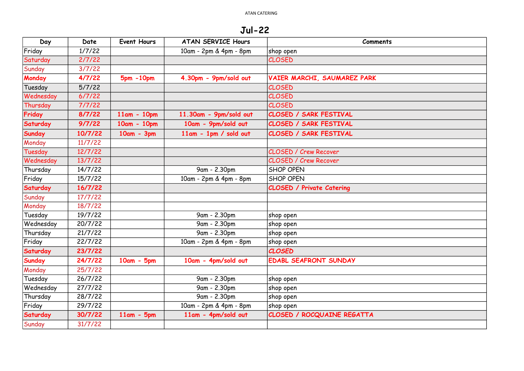Jul-22

| Day           | Date    | <b>Event Hours</b> | <b>ATAN SERVICE Hours</b> | <b>Comments</b>                  |
|---------------|---------|--------------------|---------------------------|----------------------------------|
| Friday        | 1/7/22  |                    | 10am - 2pm & 4pm - 8pm    | shop open                        |
| Saturday      | 2/7/22  |                    |                           | <b>CLOSED</b>                    |
| Sunday        | 3/7/22  |                    |                           |                                  |
| Monday        | 4/7/22  | $5pm - 10pm$       | 4.30pm - 9pm/sold out     | VAIER MARCHI, SAUMAREZ PARK      |
| Tuesday       | 5/7/22  |                    |                           | <b>CLOSED</b>                    |
| Wednesday     | 6/7/22  |                    |                           | <b>CLOSED</b>                    |
| Thursday      | 7/7/22  |                    |                           | <b>CLOSED</b>                    |
| Friday        | 8/7/22  | $11am - 10pm$      | 11.30am - 9pm/sold out    | <b>CLOSED / SARK FESTIVAL</b>    |
| Saturday      | 9/7/22  | 10am - 10pm        | 10am - 9pm/sold out       | CLOSED / SARK FESTIVAL           |
| <b>Sunday</b> | 10/7/22 | $10am - 3pm$       | $11am - 1pm / sold out$   | <b>CLOSED / SARK FESTIVAL</b>    |
| Monday        | 11/7/22 |                    |                           |                                  |
| Tuesday       | 12/7/22 |                    |                           | <b>CLOSED / Crew Recover</b>     |
| Wednesday     | 13/7/22 |                    |                           | <b>CLOSED / Crew Recover</b>     |
| Thursday      | 14/7/22 |                    | 9am - 2.30pm              | <b>SHOP OPEN</b>                 |
| Friday        | 15/7/22 |                    | 10am - 2pm & 4pm - 8pm    | <b>SHOP OPEN</b>                 |
| Saturday      | 16/7/22 |                    |                           | <b>CLOSED / Private Catering</b> |
| Sunday        | 17/7/22 |                    |                           |                                  |
| Monday        | 18/7/22 |                    |                           |                                  |
| Tuesday       | 19/7/22 |                    | 9am - 2.30pm              | shop open                        |
| Wednesday     | 20/7/22 |                    | 9am - 2.30pm              | shop open                        |
| Thursday      | 21/7/22 |                    | 9am - 2.30pm              | shop open                        |
| Friday        | 22/7/22 |                    | 10am - 2pm & 4pm - 8pm    | shop open                        |
| Saturday      | 23/7/22 |                    |                           | <b>CLOSED</b>                    |
| <b>Sunday</b> | 24/7/22 | $10am - 5pm$       | 10am - 4pm/sold out       | <b>EDABL SEAFRONT SUNDAY</b>     |
| Monday        | 25/7/22 |                    |                           |                                  |
| Tuesday       | 26/7/22 |                    | 9am - 2.30pm              | shop open                        |
| Wednesday     | 27/7/22 |                    | 9am - 2.30pm              | shop open                        |
| Thursday      | 28/7/22 |                    | 9am - 2.30pm              | shop open                        |
| Friday        | 29/7/22 |                    | 10am - 2pm & 4pm - 8pm    | shop open                        |
| Saturday      | 30/7/22 | $11am - 5pm$       | 11am - 4pm/sold out       | CLOSED / ROCQUAINE REGATTA       |
| Sunday        | 31/7/22 |                    |                           |                                  |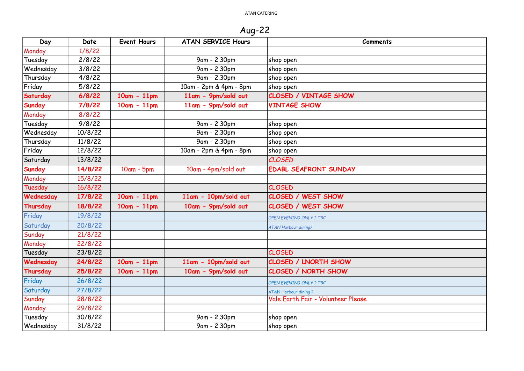Aug-22

| Day           | Date    | <b>Event Hours</b> | <b>ATAN SERVICE Hours</b> | <b>Comments</b>                    |
|---------------|---------|--------------------|---------------------------|------------------------------------|
| Monday        | 1/8/22  |                    |                           |                                    |
| Tuesday       | 2/8/22  |                    | 9am - 2.30pm              | shop open                          |
| Wednesday     | 3/8/22  |                    | 9am - 2.30pm              | shop open                          |
| Thursday      | 4/8/22  |                    | 9am - 2.30pm              | shop open                          |
| Friday        | 5/8/22  |                    | 10am - 2pm & 4pm - 8pm    | shop open                          |
| Saturday      | 6/8/22  | $10am - 11pm$      | 11am - 9pm/sold out       | <b>CLOSED / VINTAGE SHOW</b>       |
| <b>Sunday</b> | 7/8/22  | $10am - 11pm$      | 11am - 9pm/sold out       | <b>VINTAGE SHOW</b>                |
| Monday        | 8/8/22  |                    |                           |                                    |
| Tuesday       | 9/8/22  |                    | 9am - 2.30pm              | shop open                          |
| Wednesday     | 10/8/22 |                    | 9am - 2.30pm              | shop open                          |
| Thursday      | 11/8/22 |                    | 9am - 2.30pm              | shop open                          |
| Friday        | 12/8/22 |                    | 10am - 2pm & 4pm - 8pm    | shop open                          |
| Saturday      | 13/8/22 |                    |                           | <b>CLOSED</b>                      |
| <b>Sunday</b> | 14/8/22 | $10am - 5pm$       | 10am - 4pm/sold out       | <b>EDABL SEAFRONT SUNDAY</b>       |
| Monday        | 15/8/22 |                    |                           |                                    |
| Tuesday       | 16/8/22 |                    |                           | <b>CLOSED</b>                      |
| Wednesday     | 17/8/22 | $10am - 11pm$      | 11am - 10pm/sold out      | <b>CLOSED / WEST SHOW</b>          |
| Thursday      | 18/8/22 | $10am - 11pm$      | 10am - 9pm/sold out       | <b>CLOSED / WEST SHOW</b>          |
| Friday        | 19/8/22 |                    |                           | OPEN EVENING ONLY ? TBC            |
| Saturday      | 20/8/22 |                    |                           | <b>ATAN Harbour dining?</b>        |
| Sunday        | 21/8/22 |                    |                           |                                    |
| Monday        | 22/8/22 |                    |                           |                                    |
| Tuesday       | 23/8/22 |                    |                           | <b>CLOSED</b>                      |
| Wednesday     | 24/8/22 | $10am - 11pm$      | 11am - 10pm/sold out      | <b>CLOSED / LNORTH SHOW</b>        |
| Thursday      | 25/8/22 | $10am - 11pm$      | 10am - 9pm/sold out       | <b>CLOSED / NORTH SHOW</b>         |
| Friday        | 26/8/22 |                    |                           | OPEN EVENING ONLY ? TBC            |
| Saturday      | 27/8/22 |                    |                           | <b>ATAN Harbour dining?</b>        |
| Sunday        | 28/8/22 |                    |                           | Vale Earth Fair - Volunteer Please |
| Monday        | 29/8/22 |                    |                           |                                    |
| Tuesday       | 30/8/22 |                    | 9am - 2.30pm              | shop open                          |
| Wednesday     | 31/8/22 |                    | 9am - 2.30pm              | shop open                          |